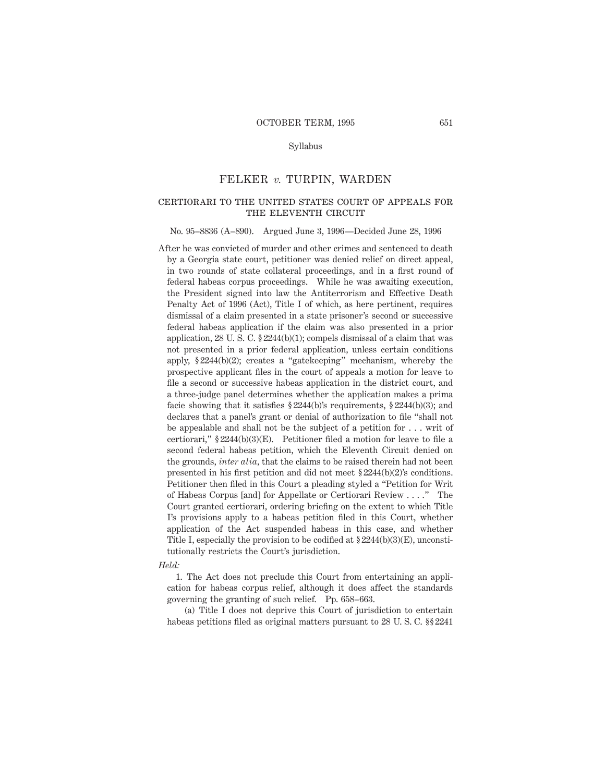## Syllabus

## FELKER *v.* TURPIN, WARDEN

# certiorari to the united states court of appeals for the eleventh circuit

#### No. 95–8836 (A–890). Argued June 3, 1996—Decided June 28, 1996

After he was convicted of murder and other crimes and sentenced to death by a Georgia state court, petitioner was denied relief on direct appeal, in two rounds of state collateral proceedings, and in a first round of federal habeas corpus proceedings. While he was awaiting execution, the President signed into law the Antiterrorism and Effective Death Penalty Act of 1996 (Act), Title I of which, as here pertinent, requires dismissal of a claim presented in a state prisoner's second or successive federal habeas application if the claim was also presented in a prior application,  $28 \text{ U}$ . S. C.  $\S 2244(b)(1)$ ; compels dismissal of a claim that was not presented in a prior federal application, unless certain conditions apply, § 2244(b)(2); creates a "gatekeeping" mechanism, whereby the prospective applicant files in the court of appeals a motion for leave to file a second or successive habeas application in the district court, and a three-judge panel determines whether the application makes a prima facie showing that it satisfies § 2244(b)'s requirements, § 2244(b)(3); and declares that a panel's grant or denial of authorization to file "shall not be appealable and shall not be the subject of a petition for . . . writ of certiorari," § 2244(b)(3)(E). Petitioner filed a motion for leave to file a second federal habeas petition, which the Eleventh Circuit denied on the grounds, *inter alia,* that the claims to be raised therein had not been presented in his first petition and did not meet § 2244(b)(2)'s conditions. Petitioner then filed in this Court a pleading styled a "Petition for Writ of Habeas Corpus [and] for Appellate or Certiorari Review . . . ." The Court granted certiorari, ordering briefing on the extent to which Title I's provisions apply to a habeas petition filed in this Court, whether application of the Act suspended habeas in this case, and whether Title I, especially the provision to be codified at  $\S 2244(b)(3)(E)$ , unconstitutionally restricts the Court's jurisdiction.

#### *Held:*

1. The Act does not preclude this Court from entertaining an application for habeas corpus relief, although it does affect the standards governing the granting of such relief. Pp. 658–663.

(a) Title I does not deprive this Court of jurisdiction to entertain habeas petitions filed as original matters pursuant to 28 U. S. C. §§ 2241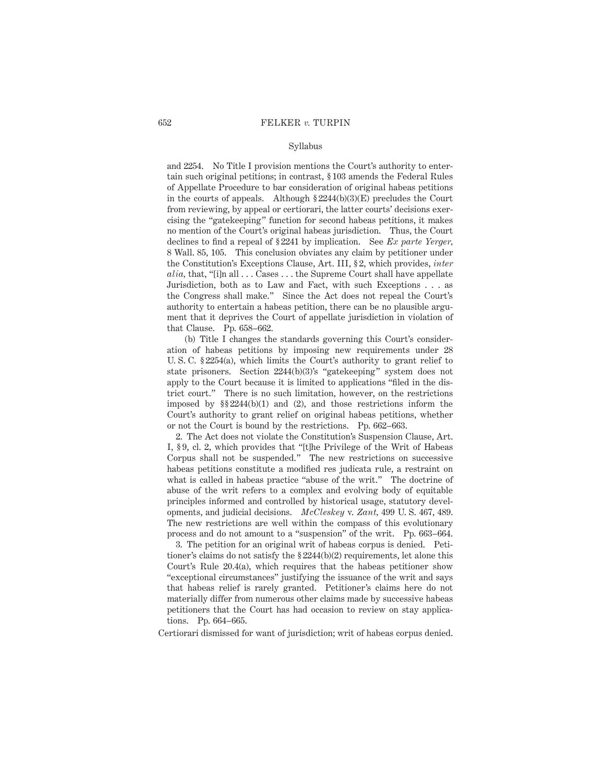## Syllabus

and 2254. No Title I provision mentions the Court's authority to entertain such original petitions; in contrast, § 103 amends the Federal Rules of Appellate Procedure to bar consideration of original habeas petitions in the courts of appeals. Although  $\S 2244(b)(3)(E)$  precludes the Court from reviewing, by appeal or certiorari, the latter courts' decisions exercising the "gatekeeping" function for second habeas petitions, it makes no mention of the Court's original habeas jurisdiction. Thus, the Court declines to find a repeal of § 2241 by implication. See *Ex parte Yerger,* 8 Wall. 85, 105. This conclusion obviates any claim by petitioner under the Constitution's Exceptions Clause, Art. III, § 2, which provides, *inter alia,* that, "[i]n all . . . Cases . . . the Supreme Court shall have appellate Jurisdiction, both as to Law and Fact, with such Exceptions . . . as the Congress shall make." Since the Act does not repeal the Court's authority to entertain a habeas petition, there can be no plausible argument that it deprives the Court of appellate jurisdiction in violation of that Clause. Pp. 658–662.

(b) Title I changes the standards governing this Court's consideration of habeas petitions by imposing new requirements under 28 U. S. C. § 2254(a), which limits the Court's authority to grant relief to state prisoners. Section 2244(b)(3)'s "gatekeeping" system does not apply to the Court because it is limited to applications "filed in the district court." There is no such limitation, however, on the restrictions imposed by §§ 2244(b)(1) and (2), and those restrictions inform the Court's authority to grant relief on original habeas petitions, whether or not the Court is bound by the restrictions. Pp. 662–663.

2. The Act does not violate the Constitution's Suspension Clause, Art. I, § 9, cl. 2, which provides that "[t]he Privilege of the Writ of Habeas Corpus shall not be suspended." The new restrictions on successive habeas petitions constitute a modified res judicata rule, a restraint on what is called in habeas practice "abuse of the writ." The doctrine of abuse of the writ refers to a complex and evolving body of equitable principles informed and controlled by historical usage, statutory developments, and judicial decisions. *McCleskey* v. *Zant,* 499 U. S. 467, 489. The new restrictions are well within the compass of this evolutionary process and do not amount to a "suspension" of the writ. Pp. 663–664.

3. The petition for an original writ of habeas corpus is denied. Petitioner's claims do not satisfy the § 2244(b)(2) requirements, let alone this Court's Rule 20.4(a), which requires that the habeas petitioner show "exceptional circumstances" justifying the issuance of the writ and says that habeas relief is rarely granted. Petitioner's claims here do not materially differ from numerous other claims made by successive habeas petitioners that the Court has had occasion to review on stay applications. Pp. 664–665.

Certiorari dismissed for want of jurisdiction; writ of habeas corpus denied.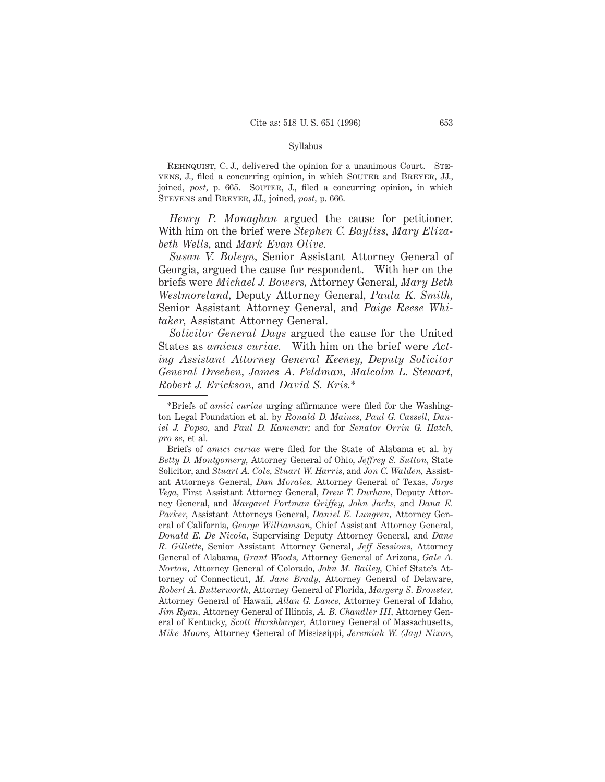#### Syllabus

REHNQUIST, C. J., delivered the opinion for a unanimous Court. STEvens, J., filed a concurring opinion, in which SOUTER and BREYER, JJ., joined, *post*, p. 665. SOUTER, J., filed a concurring opinion, in which Stevens and Breyer, JJ., joined, *post,* p. 666.

*Henry P. Monaghan* argued the cause for petitioner. With him on the brief were *Stephen C. Bayliss, Mary Elizabeth Wells,* and *Mark Evan Olive.*

*Susan V. Boleyn,* Senior Assistant Attorney General of Georgia, argued the cause for respondent. With her on the briefs were *Michael J. Bowers,* Attorney General, *Mary Beth Westmoreland,* Deputy Attorney General, *Paula K. Smith,* Senior Assistant Attorney General, and *Paige Reese Whitaker,* Assistant Attorney General.

*Solicitor General Days* argued the cause for the United States as *amicus curiae.* With him on the brief were *Acting Assistant Attorney General Keeney, Deputy Solicitor General Dreeben, James A. Feldman, Malcolm L. Stewart, Robert J. Erickson,* and *David S. Kris.*\*

<sup>\*</sup>Briefs of *amici curiae* urging affirmance were filed for the Washington Legal Foundation et al. by *Ronald D. Maines, Paul G. Cassell, Daniel J. Popeo,* and *Paul D. Kamenar;* and for *Senator Orrin G. Hatch, pro se,* et al.

Briefs of *amici curiae* were filed for the State of Alabama et al. by *Betty D. Montgomery,* Attorney General of Ohio, *Jeffrey S. Sutton,* State Solicitor, and *Stuart A. Cole, Stuart W. Harris,* and *Jon C. Walden,* Assistant Attorneys General, *Dan Morales,* Attorney General of Texas, *Jorge Vega,* First Assistant Attorney General, *Drew T. Durham,* Deputy Attorney General, and *Margaret Portman Griffey, John Jacks,* and *Dana E. Parker,* Assistant Attorneys General, *Daniel E. Lungren,* Attorney General of California, *George Williamson,* Chief Assistant Attorney General, *Donald E. De Nicola,* Supervising Deputy Attorney General, and *Dane R. Gillette,* Senior Assistant Attorney General, *Jeff Sessions,* Attorney General of Alabama, *Grant Woods,* Attorney General of Arizona, *Gale A. Norton,* Attorney General of Colorado, *John M. Bailey,* Chief State's Attorney of Connecticut, *M. Jane Brady,* Attorney General of Delaware, *Robert A. Butterworth,* Attorney General of Florida, *Margery S. Bronster,* Attorney General of Hawaii, *Allan G. Lance,* Attorney General of Idaho, *Jim Ryan,* Attorney General of Illinois, *A. B. Chandler III,* Attorney General of Kentucky, *Scott Harshbarger,* Attorney General of Massachusetts, *Mike Moore,* Attorney General of Mississippi, *Jeremiah W. (Jay) Nixon,*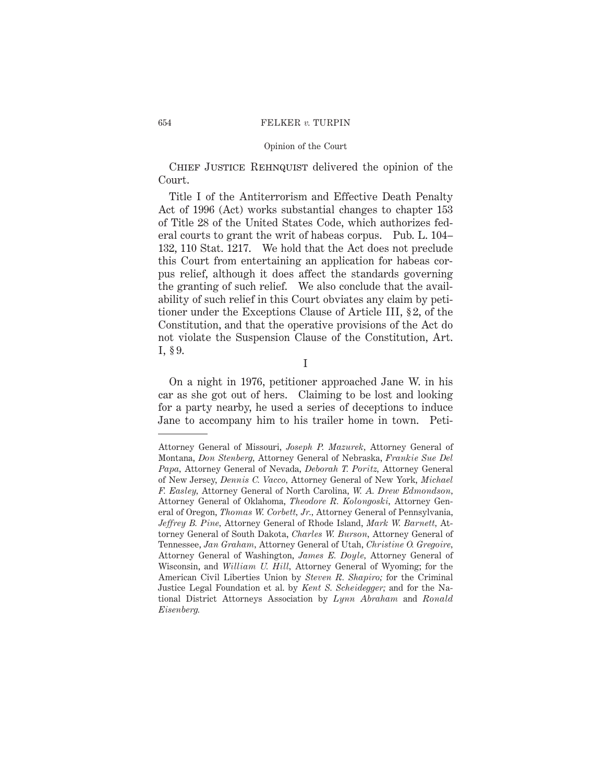## Opinion of the Court

CHIEF JUSTICE REHNQUIST delivered the opinion of the Court.

Title I of the Antiterrorism and Effective Death Penalty Act of 1996 (Act) works substantial changes to chapter 153 of Title 28 of the United States Code, which authorizes federal courts to grant the writ of habeas corpus. Pub. L. 104– 132, 110 Stat. 1217. We hold that the Act does not preclude this Court from entertaining an application for habeas corpus relief, although it does affect the standards governing the granting of such relief. We also conclude that the availability of such relief in this Court obviates any claim by petitioner under the Exceptions Clause of Article III, § 2, of the Constitution, and that the operative provisions of the Act do not violate the Suspension Clause of the Constitution, Art. I, § 9.

I

On a night in 1976, petitioner approached Jane W. in his car as she got out of hers. Claiming to be lost and looking for a party nearby, he used a series of deceptions to induce Jane to accompany him to his trailer home in town. Peti-

Attorney General of Missouri, *Joseph P. Mazurek,* Attorney General of Montana, *Don Stenberg,* Attorney General of Nebraska, *Frankie Sue Del Papa,* Attorney General of Nevada, *Deborah T. Poritz,* Attorney General of New Jersey, *Dennis C. Vacco,* Attorney General of New York, *Michael F. Easley,* Attorney General of North Carolina, *W. A. Drew Edmondson,* Attorney General of Oklahoma, *Theodore R. Kolongoski,* Attorney General of Oregon, *Thomas W. Corbett, Jr.,* Attorney General of Pennsylvania, *Jeffrey B. Pine,* Attorney General of Rhode Island, *Mark W. Barnett,* Attorney General of South Dakota, *Charles W. Burson,* Attorney General of Tennessee, *Jan Graham,* Attorney General of Utah, *Christine O. Gregoire,* Attorney General of Washington, *James E. Doyle,* Attorney General of Wisconsin, and *William U. Hill,* Attorney General of Wyoming; for the American Civil Liberties Union by *Steven R. Shapiro;* for the Criminal Justice Legal Foundation et al. by *Kent S. Scheidegger;* and for the National District Attorneys Association by *Lynn Abraham* and *Ronald Eisenberg.*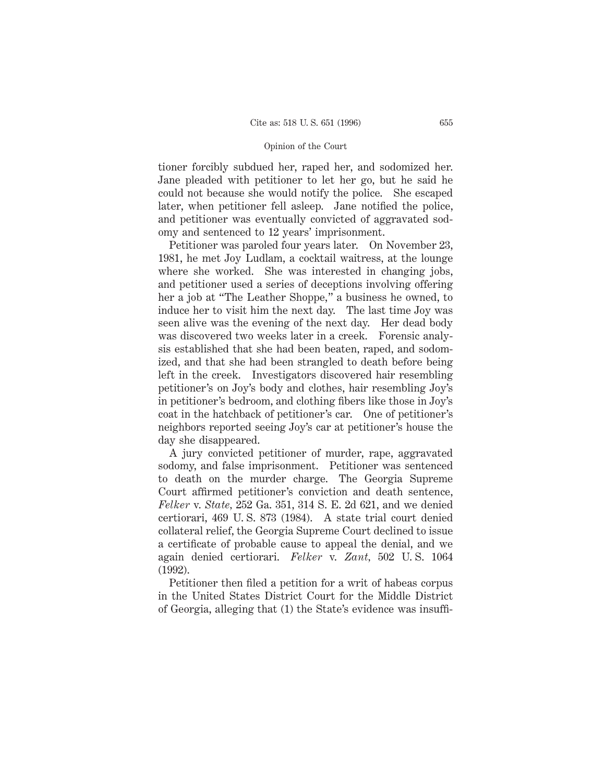tioner forcibly subdued her, raped her, and sodomized her. Jane pleaded with petitioner to let her go, but he said he could not because she would notify the police. She escaped later, when petitioner fell asleep. Jane notified the police, and petitioner was eventually convicted of aggravated sodomy and sentenced to 12 years' imprisonment.

Petitioner was paroled four years later. On November 23, 1981, he met Joy Ludlam, a cocktail waitress, at the lounge where she worked. She was interested in changing jobs, and petitioner used a series of deceptions involving offering her a job at "The Leather Shoppe," a business he owned, to induce her to visit him the next day. The last time Joy was seen alive was the evening of the next day. Her dead body was discovered two weeks later in a creek. Forensic analysis established that she had been beaten, raped, and sodomized, and that she had been strangled to death before being left in the creek. Investigators discovered hair resembling petitioner's on Joy's body and clothes, hair resembling Joy's in petitioner's bedroom, and clothing fibers like those in Joy's coat in the hatchback of petitioner's car. One of petitioner's neighbors reported seeing Joy's car at petitioner's house the day she disappeared.

A jury convicted petitioner of murder, rape, aggravated sodomy, and false imprisonment. Petitioner was sentenced to death on the murder charge. The Georgia Supreme Court affirmed petitioner's conviction and death sentence, *Felker* v. *State,* 252 Ga. 351, 314 S. E. 2d 621, and we denied certiorari, 469 U. S. 873 (1984). A state trial court denied collateral relief, the Georgia Supreme Court declined to issue a certificate of probable cause to appeal the denial, and we again denied certiorari. *Felker* v. *Zant,* 502 U. S. 1064 (1992).

Petitioner then filed a petition for a writ of habeas corpus in the United States District Court for the Middle District of Georgia, alleging that (1) the State's evidence was insuffi-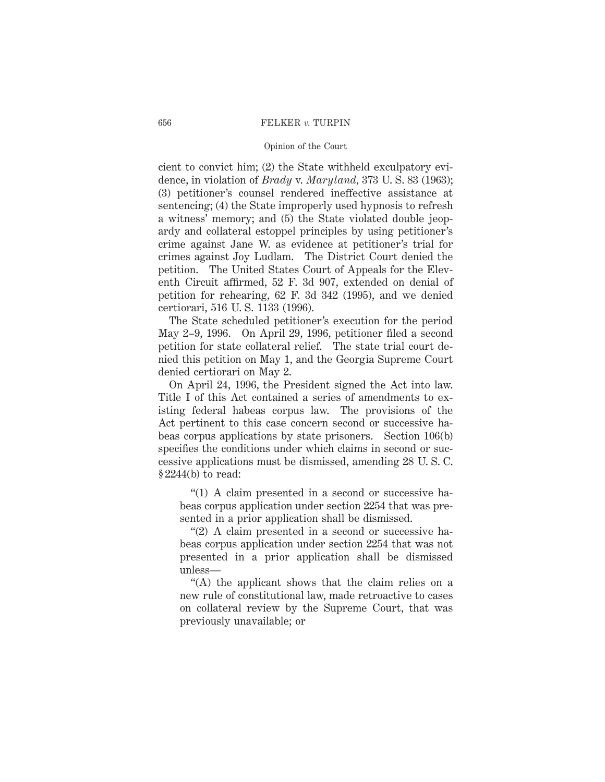## Opinion of the Court

cient to convict him; (2) the State withheld exculpatory evidence, in violation of *Brady* v. *Maryland,* 373 U. S. 83 (1963); (3) petitioner's counsel rendered ineffective assistance at sentencing; (4) the State improperly used hypnosis to refresh a witness' memory; and (5) the State violated double jeopardy and collateral estoppel principles by using petitioner's crime against Jane W. as evidence at petitioner's trial for crimes against Joy Ludlam. The District Court denied the petition. The United States Court of Appeals for the Eleventh Circuit affirmed, 52 F. 3d 907, extended on denial of petition for rehearing, 62 F. 3d 342 (1995), and we denied certiorari, 516 U. S. 1133 (1996).

The State scheduled petitioner's execution for the period May 2–9, 1996. On April 29, 1996, petitioner filed a second petition for state collateral relief. The state trial court denied this petition on May 1, and the Georgia Supreme Court denied certiorari on May 2.

On April 24, 1996, the President signed the Act into law. Title I of this Act contained a series of amendments to existing federal habeas corpus law. The provisions of the Act pertinent to this case concern second or successive habeas corpus applications by state prisoners. Section 106(b) specifies the conditions under which claims in second or successive applications must be dismissed, amending 28 U. S. C. § 2244(b) to read:

"(1) A claim presented in a second or successive habeas corpus application under section 2254 that was presented in a prior application shall be dismissed.

"(2) A claim presented in a second or successive habeas corpus application under section 2254 that was not presented in a prior application shall be dismissed unless—

"(A) the applicant shows that the claim relies on a new rule of constitutional law, made retroactive to cases on collateral review by the Supreme Court, that was previously unavailable; or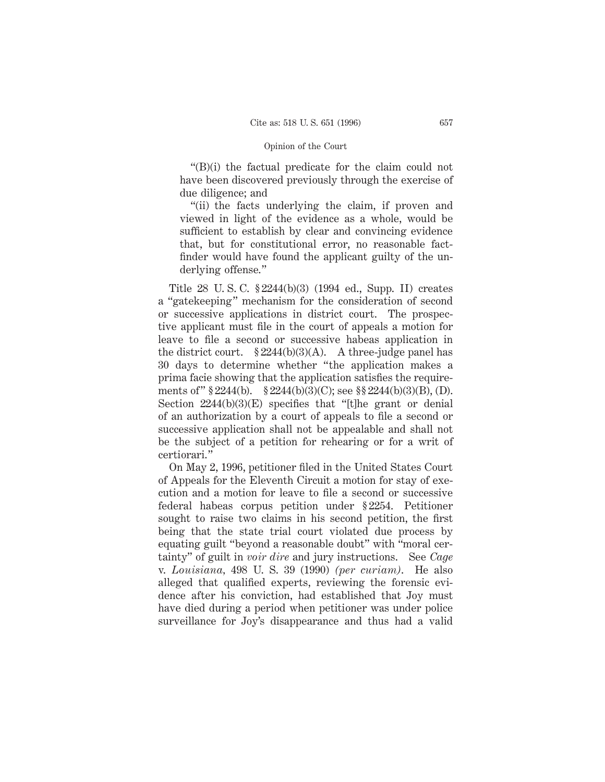"(B)(i) the factual predicate for the claim could not have been discovered previously through the exercise of due diligence; and

"(ii) the facts underlying the claim, if proven and viewed in light of the evidence as a whole, would be sufficient to establish by clear and convincing evidence that, but for constitutional error, no reasonable factfinder would have found the applicant guilty of the underlying offense."

Title 28 U. S. C. § 2244(b)(3) (1994 ed., Supp. II) creates a "gatekeeping" mechanism for the consideration of second or successive applications in district court. The prospective applicant must file in the court of appeals a motion for leave to file a second or successive habeas application in the district court.  $$2244(b)(3)(A)$ . A three-judge panel has 30 days to determine whether "the application makes a prima facie showing that the application satisfies the requirements of " § 2244(b). § 2244(b)(3)(C); see §§ 2244(b)(3)(B), (D). Section  $2244(b)(3)(E)$  specifies that "[t]he grant or denial of an authorization by a court of appeals to file a second or successive application shall not be appealable and shall not be the subject of a petition for rehearing or for a writ of certiorari."

On May 2, 1996, petitioner filed in the United States Court of Appeals for the Eleventh Circuit a motion for stay of execution and a motion for leave to file a second or successive federal habeas corpus petition under § 2254. Petitioner sought to raise two claims in his second petition, the first being that the state trial court violated due process by equating guilt "beyond a reasonable doubt" with "moral certainty" of guilt in *voir dire* and jury instructions. See *Cage* v. *Louisiana,* 498 U. S. 39 (1990) *(per curiam)*. He also alleged that qualified experts, reviewing the forensic evidence after his conviction, had established that Joy must have died during a period when petitioner was under police surveillance for Joy's disappearance and thus had a valid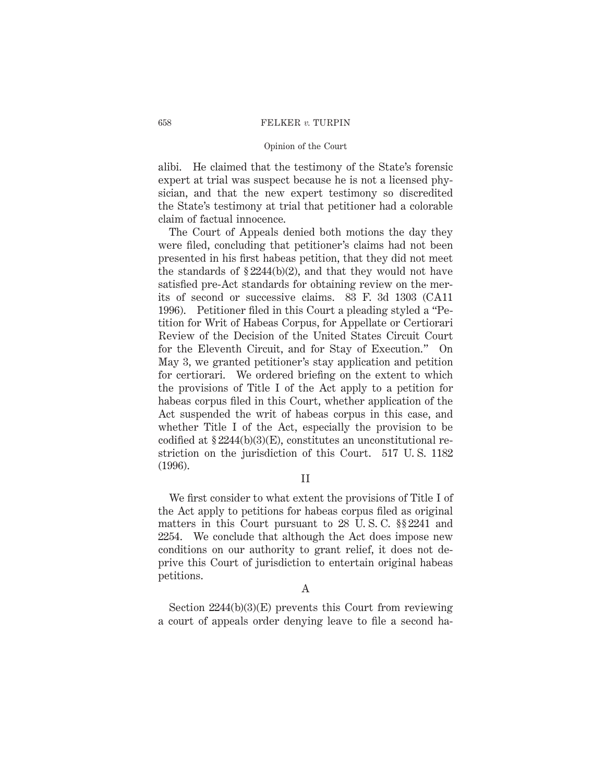## Opinion of the Court

alibi. He claimed that the testimony of the State's forensic expert at trial was suspect because he is not a licensed physician, and that the new expert testimony so discredited the State's testimony at trial that petitioner had a colorable claim of factual innocence.

The Court of Appeals denied both motions the day they were filed, concluding that petitioner's claims had not been presented in his first habeas petition, that they did not meet the standards of  $$2244(b)(2)$ , and that they would not have satisfied pre-Act standards for obtaining review on the merits of second or successive claims. 83 F. 3d 1303 (CA11 1996). Petitioner filed in this Court a pleading styled a "Petition for Writ of Habeas Corpus, for Appellate or Certiorari Review of the Decision of the United States Circuit Court for the Eleventh Circuit, and for Stay of Execution." On May 3, we granted petitioner's stay application and petition for certiorari. We ordered briefing on the extent to which the provisions of Title I of the Act apply to a petition for habeas corpus filed in this Court, whether application of the Act suspended the writ of habeas corpus in this case, and whether Title I of the Act, especially the provision to be codified at  $$2244(b)(3)(E)$ , constitutes an unconstitutional restriction on the jurisdiction of this Court. 517 U. S. 1182 (1996).

## II

We first consider to what extent the provisions of Title I of the Act apply to petitions for habeas corpus filed as original matters in this Court pursuant to 28 U. S. C. §§ 2241 and 2254. We conclude that although the Act does impose new conditions on our authority to grant relief, it does not deprive this Court of jurisdiction to entertain original habeas petitions.

## A

Section 2244(b)(3)(E) prevents this Court from reviewing a court of appeals order denying leave to file a second ha-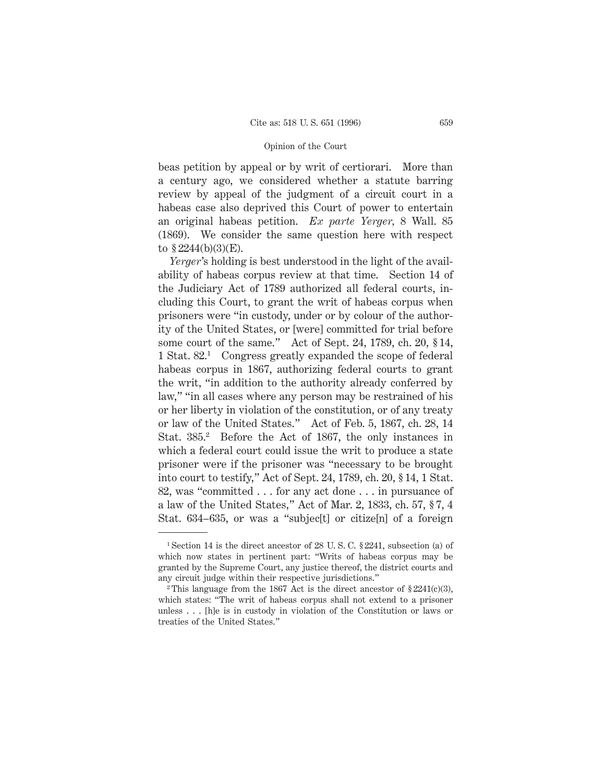beas petition by appeal or by writ of certiorari. More than a century ago, we considered whether a statute barring review by appeal of the judgment of a circuit court in a habeas case also deprived this Court of power to entertain an original habeas petition. *Ex parte Yerger,* 8 Wall. 85 (1869). We consider the same question here with respect to  $\S 2244(b)(3)(E)$ .

*Yerger*'s holding is best understood in the light of the availability of habeas corpus review at that time. Section 14 of the Judiciary Act of 1789 authorized all federal courts, including this Court, to grant the writ of habeas corpus when prisoners were "in custody, under or by colour of the authority of the United States, or [were] committed for trial before some court of the same." Act of Sept. 24, 1789, ch. 20, § 14, 1 Stat. 82.1 Congress greatly expanded the scope of federal habeas corpus in 1867, authorizing federal courts to grant the writ, "in addition to the authority already conferred by law," "in all cases where any person may be restrained of his or her liberty in violation of the constitution, or of any treaty or law of the United States." Act of Feb. 5, 1867, ch. 28, 14 Stat. 385.2 Before the Act of 1867, the only instances in which a federal court could issue the writ to produce a state prisoner were if the prisoner was "necessary to be brought into court to testify," Act of Sept. 24, 1789, ch. 20, § 14, 1 Stat. 82, was "committed . . . for any act done . . . in pursuance of a law of the United States," Act of Mar. 2, 1833, ch. 57, § 7, 4 Stat. 634–635, or was a "subjec<sup>[t]</sup> or citize<sup>[n]</sup> of a foreign

<sup>&</sup>lt;sup>1</sup> Section 14 is the direct ancestor of 28 U.S.C. § 2241, subsection (a) of which now states in pertinent part: "Writs of habeas corpus may be granted by the Supreme Court, any justice thereof, the district courts and any circuit judge within their respective jurisdictions."

<sup>&</sup>lt;sup>2</sup> This language from the 1867 Act is the direct ancestor of  $\S 2241(c)(3)$ , which states: "The writ of habeas corpus shall not extend to a prisoner unless . . . [h]e is in custody in violation of the Constitution or laws or treaties of the United States."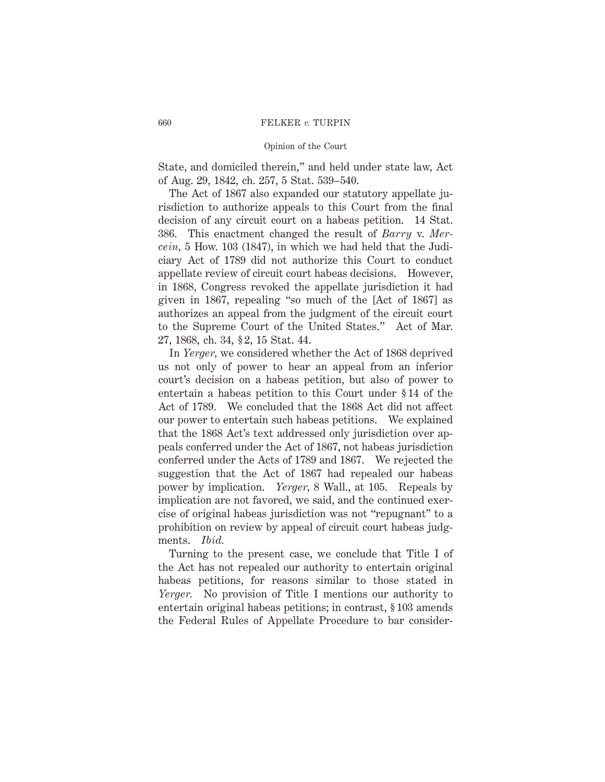## Opinion of the Court

State, and domiciled therein," and held under state law, Act of Aug. 29, 1842, ch. 257, 5 Stat. 539–540.

The Act of 1867 also expanded our statutory appellate jurisdiction to authorize appeals to this Court from the final decision of any circuit court on a habeas petition. 14 Stat. 386. This enactment changed the result of *Barry* v. *Mercein,* 5 How. 103 (1847), in which we had held that the Judiciary Act of 1789 did not authorize this Court to conduct appellate review of circuit court habeas decisions. However, in 1868, Congress revoked the appellate jurisdiction it had given in 1867, repealing "so much of the [Act of 1867] as authorizes an appeal from the judgment of the circuit court to the Supreme Court of the United States." Act of Mar. 27, 1868, ch. 34, § 2, 15 Stat. 44.

In *Yerger,* we considered whether the Act of 1868 deprived us not only of power to hear an appeal from an inferior court's decision on a habeas petition, but also of power to entertain a habeas petition to this Court under § 14 of the Act of 1789. We concluded that the 1868 Act did not affect our power to entertain such habeas petitions. We explained that the 1868 Act's text addressed only jurisdiction over appeals conferred under the Act of 1867, not habeas jurisdiction conferred under the Acts of 1789 and 1867. We rejected the suggestion that the Act of 1867 had repealed our habeas power by implication. *Yerger,* 8 Wall., at 105. Repeals by implication are not favored, we said, and the continued exercise of original habeas jurisdiction was not "repugnant" to a prohibition on review by appeal of circuit court habeas judgments. *Ibid.*

Turning to the present case, we conclude that Title I of the Act has not repealed our authority to entertain original habeas petitions, for reasons similar to those stated in *Yerger.* No provision of Title I mentions our authority to entertain original habeas petitions; in contrast, § 103 amends the Federal Rules of Appellate Procedure to bar consider-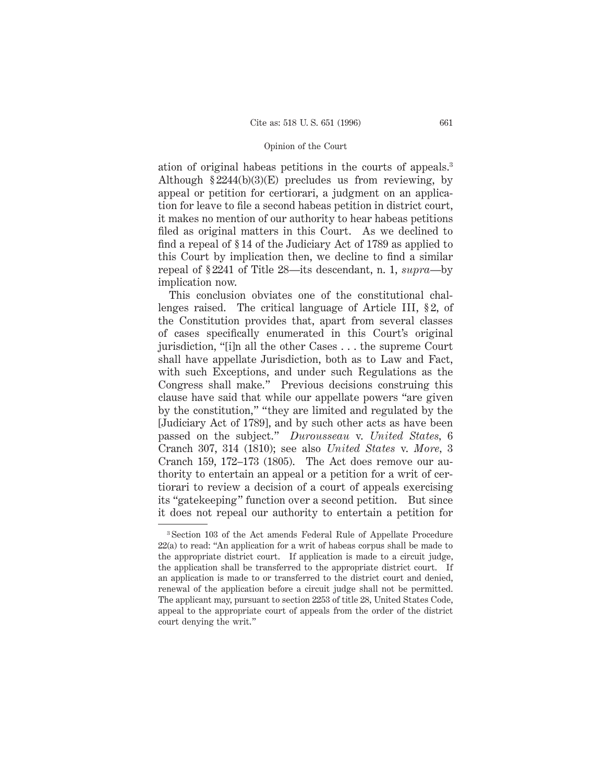ation of original habeas petitions in the courts of appeals.3 Although  $\S 2244(b)(3)(E)$  precludes us from reviewing, by appeal or petition for certiorari, a judgment on an application for leave to file a second habeas petition in district court, it makes no mention of our authority to hear habeas petitions filed as original matters in this Court. As we declined to find a repeal of § 14 of the Judiciary Act of 1789 as applied to this Court by implication then, we decline to find a similar repeal of § 2241 of Title 28—its descendant, n. 1, *supra*—by implication now.

This conclusion obviates one of the constitutional challenges raised. The critical language of Article III, § 2, of the Constitution provides that, apart from several classes of cases specifically enumerated in this Court's original jurisdiction, "[i]n all the other Cases . . . the supreme Court shall have appellate Jurisdiction, both as to Law and Fact, with such Exceptions, and under such Regulations as the Congress shall make." Previous decisions construing this clause have said that while our appellate powers "are given by the constitution," "they are limited and regulated by the [Judiciary Act of 1789], and by such other acts as have been passed on the subject." *Durousseau* v. *United States,* 6 Cranch 307, 314 (1810); see also *United States* v. *More,* 3 Cranch 159, 172–173 (1805). The Act does remove our authority to entertain an appeal or a petition for a writ of certiorari to review a decision of a court of appeals exercising its "gatekeeping" function over a second petition. But since it does not repeal our authority to entertain a petition for

<sup>3</sup> Section 103 of the Act amends Federal Rule of Appellate Procedure 22(a) to read: "An application for a writ of habeas corpus shall be made to the appropriate district court. If application is made to a circuit judge, the application shall be transferred to the appropriate district court. If an application is made to or transferred to the district court and denied, renewal of the application before a circuit judge shall not be permitted. The applicant may, pursuant to section 2253 of title 28, United States Code, appeal to the appropriate court of appeals from the order of the district court denying the writ."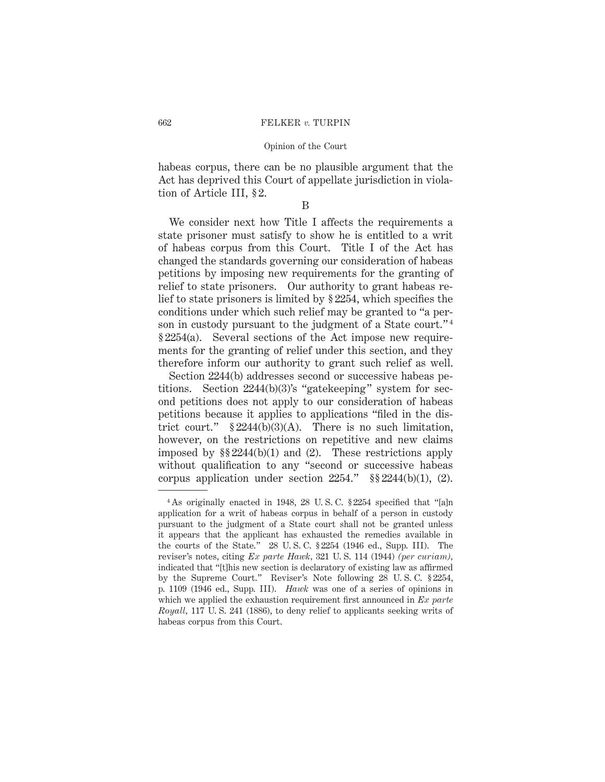habeas corpus, there can be no plausible argument that the Act has deprived this Court of appellate jurisdiction in violation of Article III, § 2.

B

We consider next how Title I affects the requirements a state prisoner must satisfy to show he is entitled to a writ of habeas corpus from this Court. Title I of the Act has changed the standards governing our consideration of habeas petitions by imposing new requirements for the granting of relief to state prisoners. Our authority to grant habeas relief to state prisoners is limited by § 2254, which specifies the conditions under which such relief may be granted to "a person in custody pursuant to the judgment of a State court."<sup>4</sup> § 2254(a). Several sections of the Act impose new requirements for the granting of relief under this section, and they therefore inform our authority to grant such relief as well.

Section 2244(b) addresses second or successive habeas petitions. Section 2244(b)(3)'s "gatekeeping" system for second petitions does not apply to our consideration of habeas petitions because it applies to applications "filed in the district court."  $$2244(b)(3)(A)$ . There is no such limitation, however, on the restrictions on repetitive and new claims imposed by §§ 2244(b)(1) and (2). These restrictions apply without qualification to any "second or successive habeas corpus application under section  $2254$ ."  $\S 2244(b)(1)$ , (2).

<sup>4</sup> As originally enacted in 1948, 28 U. S. C. § 2254 specified that "[a]n application for a writ of habeas corpus in behalf of a person in custody pursuant to the judgment of a State court shall not be granted unless it appears that the applicant has exhausted the remedies available in the courts of the State." 28 U. S. C. § 2254 (1946 ed., Supp. III). The reviser's notes, citing *Ex parte Hawk,* 321 U. S. 114 (1944) *(per curiam),* indicated that "[t]his new section is declaratory of existing law as affirmed by the Supreme Court." Reviser's Note following 28 U. S. C. § 2254, p. 1109 (1946 ed., Supp. III). *Hawk* was one of a series of opinions in which we applied the exhaustion requirement first announced in *Ex parte Royall,* 117 U. S. 241 (1886), to deny relief to applicants seeking writs of habeas corpus from this Court.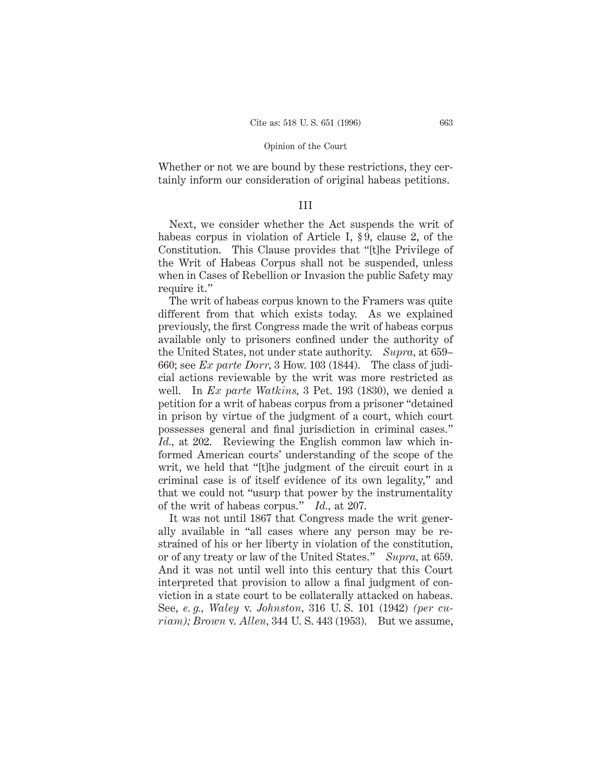Whether or not we are bound by these restrictions, they certainly inform our consideration of original habeas petitions.

# III

Next, we consider whether the Act suspends the writ of habeas corpus in violation of Article I, §9, clause 2, of the Constitution. This Clause provides that "[t]he Privilege of the Writ of Habeas Corpus shall not be suspended, unless when in Cases of Rebellion or Invasion the public Safety may require it."

The writ of habeas corpus known to the Framers was quite different from that which exists today. As we explained previously, the first Congress made the writ of habeas corpus available only to prisoners confined under the authority of the United States, not under state authority. *Supra,* at 659– 660; see *Ex parte Dorr,* 3 How. 103 (1844). The class of judicial actions reviewable by the writ was more restricted as well. In *Ex parte Watkins,* 3 Pet. 193 (1830), we denied a petition for a writ of habeas corpus from a prisoner "detained in prison by virtue of the judgment of a court, which court possesses general and final jurisdiction in criminal cases." *Id.*, at 202. Reviewing the English common law which informed American courts' understanding of the scope of the writ, we held that "[t]he judgment of the circuit court in a criminal case is of itself evidence of its own legality," and that we could not "usurp that power by the instrumentality of the writ of habeas corpus." *Id.,* at 207.

It was not until 1867 that Congress made the writ generally available in "all cases where any person may be restrained of his or her liberty in violation of the constitution, or of any treaty or law of the United States." *Supra,* at 659. And it was not until well into this century that this Court interpreted that provision to allow a final judgment of conviction in a state court to be collaterally attacked on habeas. See, *e. g., Waley* v. *Johnston,* 316 U. S. 101 (1942) *(per curiam); Brown* v. *Allen,* 344 U. S. 443 (1953). But we assume,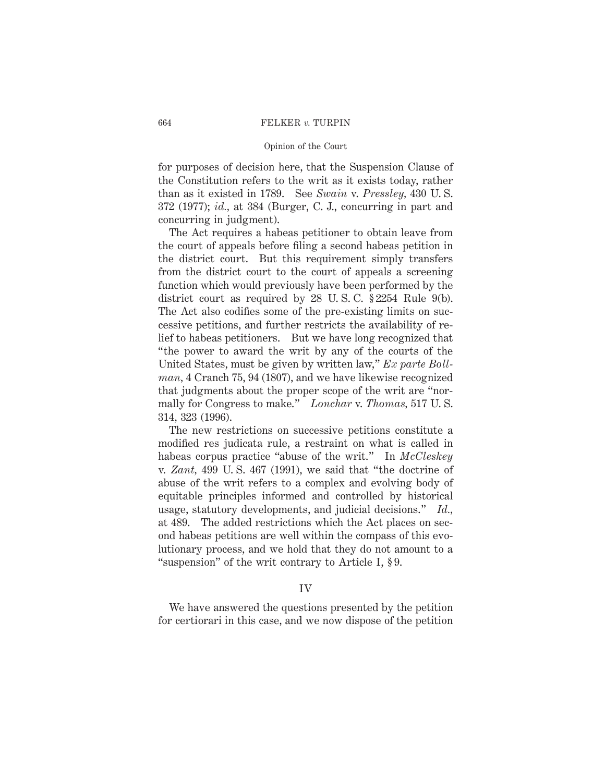## Opinion of the Court

for purposes of decision here, that the Suspension Clause of the Constitution refers to the writ as it exists today, rather than as it existed in 1789. See *Swain* v. *Pressley,* 430 U. S. 372 (1977); *id.,* at 384 (Burger, C. J., concurring in part and concurring in judgment).

The Act requires a habeas petitioner to obtain leave from the court of appeals before filing a second habeas petition in the district court. But this requirement simply transfers from the district court to the court of appeals a screening function which would previously have been performed by the district court as required by 28 U. S. C. § 2254 Rule 9(b). The Act also codifies some of the pre-existing limits on successive petitions, and further restricts the availability of relief to habeas petitioners. But we have long recognized that "the power to award the writ by any of the courts of the United States, must be given by written law," *Ex parte Bollman,* 4 Cranch 75, 94 (1807), and we have likewise recognized that judgments about the proper scope of the writ are "normally for Congress to make." *Lonchar* v. *Thomas,* 517 U. S. 314, 323 (1996).

The new restrictions on successive petitions constitute a modified res judicata rule, a restraint on what is called in habeas corpus practice "abuse of the writ." In *McCleskey* v. *Zant,* 499 U. S. 467 (1991), we said that "the doctrine of abuse of the writ refers to a complex and evolving body of equitable principles informed and controlled by historical usage, statutory developments, and judicial decisions." *Id.,* at 489. The added restrictions which the Act places on second habeas petitions are well within the compass of this evolutionary process, and we hold that they do not amount to a "suspension" of the writ contrary to Article I, § 9.

# IV

We have answered the questions presented by the petition for certiorari in this case, and we now dispose of the petition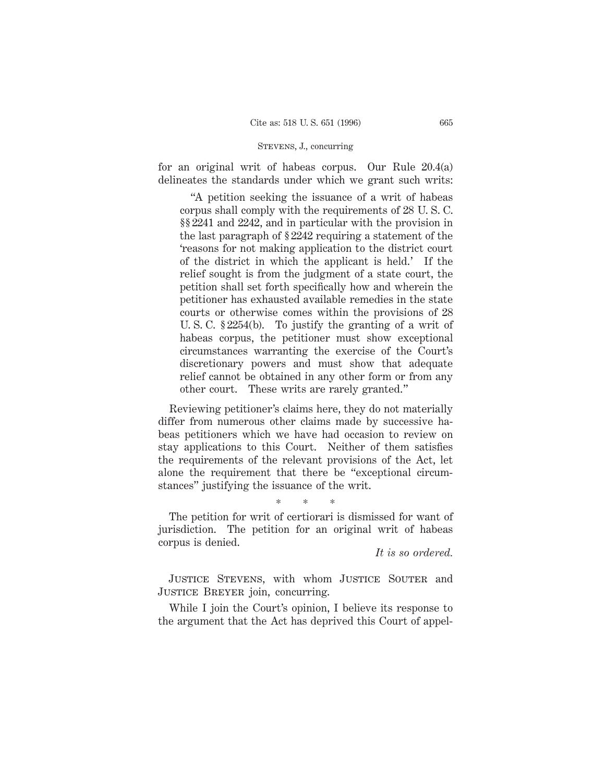# STEVENS, J., concurring

for an original writ of habeas corpus. Our Rule 20.4(a) delineates the standards under which we grant such writs:

"A petition seeking the issuance of a writ of habeas corpus shall comply with the requirements of 28 U. S. C. §§ 2241 and 2242, and in particular with the provision in the last paragraph of § 2242 requiring a statement of the 'reasons for not making application to the district court of the district in which the applicant is held.' If the relief sought is from the judgment of a state court, the petition shall set forth specifically how and wherein the petitioner has exhausted available remedies in the state courts or otherwise comes within the provisions of 28 U. S. C. § 2254(b). To justify the granting of a writ of habeas corpus, the petitioner must show exceptional circumstances warranting the exercise of the Court's discretionary powers and must show that adequate relief cannot be obtained in any other form or from any other court. These writs are rarely granted."

Reviewing petitioner's claims here, they do not materially differ from numerous other claims made by successive habeas petitioners which we have had occasion to review on stay applications to this Court. Neither of them satisfies the requirements of the relevant provisions of the Act, let alone the requirement that there be "exceptional circumstances" justifying the issuance of the writ.

\*\*\*

The petition for writ of certiorari is dismissed for want of jurisdiction. The petition for an original writ of habeas corpus is denied.

*It is so ordered.*

JUSTICE STEVENS, with whom JUSTICE SOUTER and JUSTICE BREYER join, concurring.

While I join the Court's opinion, I believe its response to the argument that the Act has deprived this Court of appel-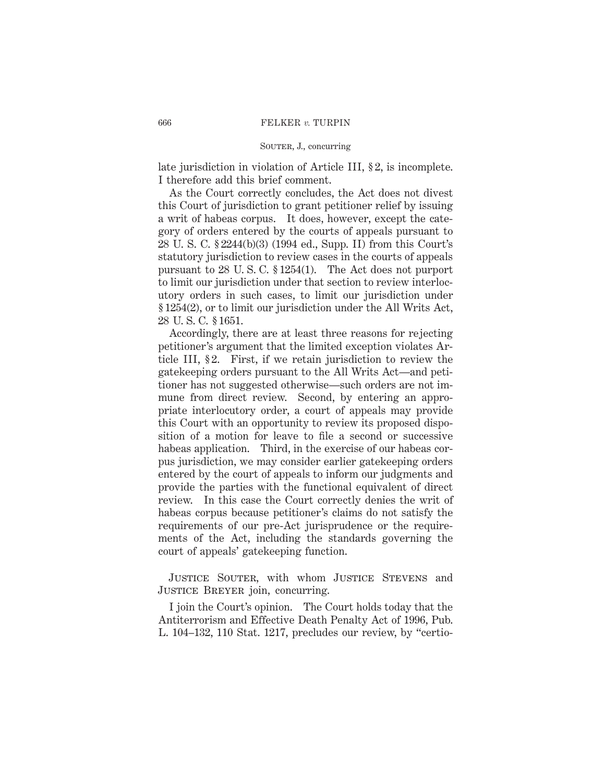# SOUTER, J., concurring

late jurisdiction in violation of Article III, § 2, is incomplete. I therefore add this brief comment.

As the Court correctly concludes, the Act does not divest this Court of jurisdiction to grant petitioner relief by issuing a writ of habeas corpus. It does, however, except the category of orders entered by the courts of appeals pursuant to 28 U. S. C. § 2244(b)(3) (1994 ed., Supp. II) from this Court's statutory jurisdiction to review cases in the courts of appeals pursuant to 28 U. S. C. § 1254(1). The Act does not purport to limit our jurisdiction under that section to review interlocutory orders in such cases, to limit our jurisdiction under § 1254(2), or to limit our jurisdiction under the All Writs Act, 28 U. S. C. § 1651.

Accordingly, there are at least three reasons for rejecting petitioner's argument that the limited exception violates Article III, § 2. First, if we retain jurisdiction to review the gatekeeping orders pursuant to the All Writs Act—and petitioner has not suggested otherwise—such orders are not immune from direct review. Second, by entering an appropriate interlocutory order, a court of appeals may provide this Court with an opportunity to review its proposed disposition of a motion for leave to file a second or successive habeas application. Third, in the exercise of our habeas corpus jurisdiction, we may consider earlier gatekeeping orders entered by the court of appeals to inform our judgments and provide the parties with the functional equivalent of direct review. In this case the Court correctly denies the writ of habeas corpus because petitioner's claims do not satisfy the requirements of our pre-Act jurisprudence or the requirements of the Act, including the standards governing the court of appeals' gatekeeping function.

Justice Souter, with whom Justice Stevens and JUSTICE BREYER join, concurring.

I join the Court's opinion. The Court holds today that the Antiterrorism and Effective Death Penalty Act of 1996, Pub. L. 104–132, 110 Stat. 1217, precludes our review, by "certio-